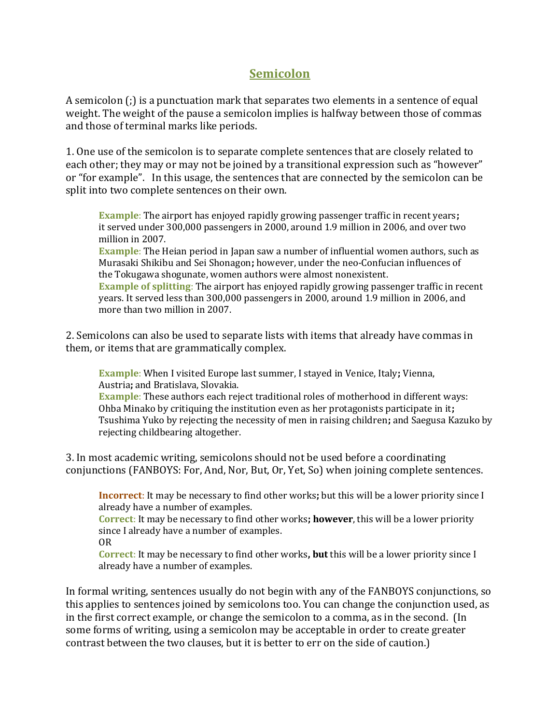## **Semicolon**

A semicolon (;) is a punctuation mark that separates two elements in a sentence of equal weight. The weight of the pause a semicolon implies is halfway between those of commas and those of terminal marks like periods.

1. One use of the semicolon is to separate complete sentences that are closely related to each other; they may or may not be joined by a transitional expression such as "however" or "for example". In this usage, the sentences that are connected by the semicolon can be split into two complete sentences on their own.

**Example**: The airport has enjoyed rapidly growing passenger traffic in recent years**;** it served under 300,000 passengers in 2000, around 1.9 million in 2006, and over two million in 2007.

**Example**: The Heian period in Japan saw a number of influential women authors, such as Murasaki Shikibu and Sei Shonagon**;** however, under the neo-Confucian influences of the Tokugawa shogunate, women authors were almost nonexistent.

**Example of splitting**: The airport has enjoyed rapidly growing passenger traffic in recent years. It served less than 300,000 passengers in 2000, around 1.9 million in 2006, and more than two million in 2007.

2. Semicolons can also be used to separate lists with items that already have commas in them, or items that are grammatically complex.

**Example**: When I visited Europe last summer, I stayed in Venice, Italy**;** Vienna, Austria**;** and Bratislava, Slovakia.

**Example**: These authors each reject traditional roles of motherhood in different ways: Ohba Minako by critiquing the institution even as her protagonists participate in it**;** Tsushima Yuko by rejecting the necessity of men in raising children**;** and Saegusa Kazuko by rejecting childbearing altogether.

3. In most academic writing, semicolons should not be used before a coordinating conjunctions (FANBOYS: For, And, Nor, But, Or, Yet, So) when joining complete sentences.

**Incorrect**: It may be necessary to find other works**;** but this will be a lower priority since I already have a number of examples.

**Correct**: It may be necessary to find other works**; however**, this will be a lower priority since I already have a number of examples. OR

**Correct**: It may be necessary to find other works**, but** this will be a lower priority since I already have a number of examples.

In formal writing, sentences usually do not begin with any of the FANBOYS conjunctions, so this applies to sentences joined by semicolons too. You can change the conjunction used, as in the first correct example, or change the semicolon to a comma, as in the second. (In some forms of writing, using a semicolon may be acceptable in order to create greater contrast between the two clauses, but it is better to err on the side of caution.)